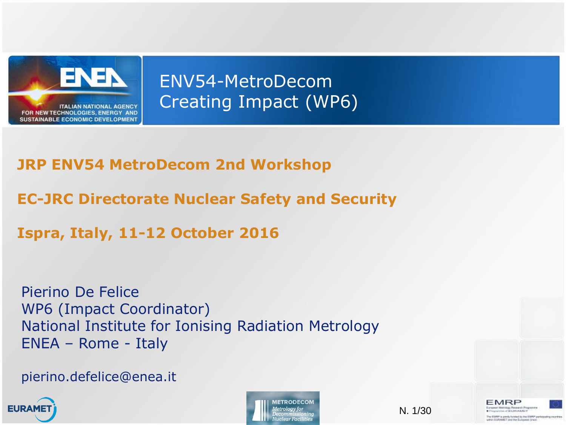

ENV54-MetroDecom Creating Impact (WP6)

#### **JRP ENV54 MetroDecom 2nd Workshop**

**EC-JRC Directorate Nuclear Safety and Security**

**Ispra, Italy, 11-12 October 2016**

Pierino De Felice WP6 (Impact Coordinator) National Institute for Ionising Radiation Metrology ENEA – Rome - Italy

pierino.defelice@enea.it





N. 1/30

EMRP **Heusech Programs WARD ENDING A BANKEY** The EMPP is jointy tunited by the EMPP participating.

thin GLIRAMET and the European Uni-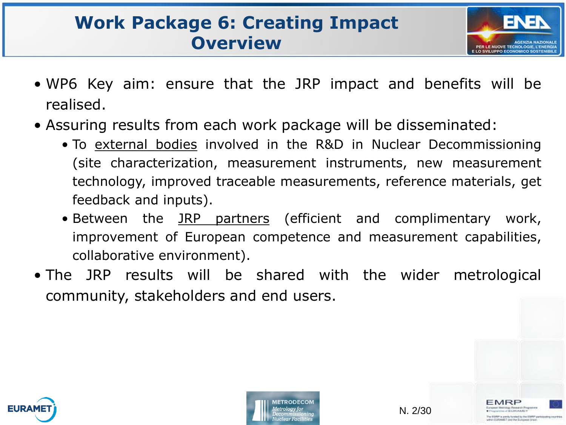#### **Work Package 6: Creating Impact Overview**



MRP

CEUROMET IF is transfer bursted for the FMRF conta-**CT and the Euris** 

- WP6 Key aim: ensure that the JRP impact and benefits will be realised.
- Assuring results from each work package will be disseminated:
	- To external bodies involved in the R&D in Nuclear Decommissioning (site characterization, measurement instruments, new measurement technology, improved traceable measurements, reference materials, get feedback and inputs).
	- Between the JRP partners (efficient and complimentary work, improvement of European competence and measurement capabilities, collaborative environment).
- The JRP results will be shared with the wider metrological community, stakeholders and end users.



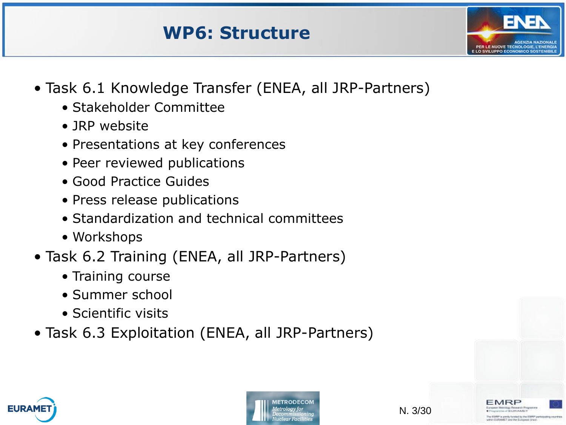#### **WP6: Structure**



- Task 6.1 Knowledge Transfer (ENEA, all JRP-Partners)
	- Stakeholder Committee
	- JRP website
	- Presentations at key conferences
	- Peer reviewed publications
	- Good Practice Guides
	- Press release publications
	- Standardization and technical committees
	- Workshops
- Task 6.2 Training (ENEA, all JRP-Partners)
	- Training course
	- Summer school
	- Scientific visits
- Task 6.3 Exploitation (ENEA, all JRP-Partners)





**IST and the Euras**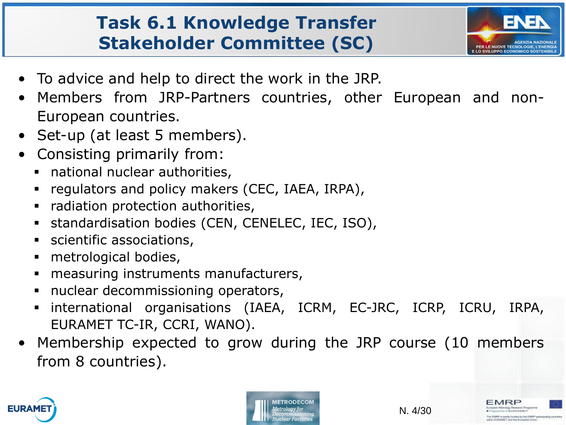#### **Task 6.1 Knowledge Transfer Stakeholder Committee (SC)**



- To advice and help to direct the work in the JRP.
- Members from JRP-Partners countries, other European and non-European countries.
- Set-up (at least 5 members).
- Consisting primarily from:
	- national nuclear authorities,
	- **•** regulators and policy makers (CEC, IAEA, IRPA),
	- radiation protection authorities,
	- **standardisation bodies (CEN, CENELEC, IEC, ISO),**
	- **scientific associations,**
	- metrological bodies,
	- **nance** measuring instruments manufacturers,
	- **nuclear decommissioning operators,**
	- international organisations (IAEA, ICRM, EC-JRC, ICRP, ICRU, IRPA, EURAMET TC-IR, CCRI, WANO).
- Membership expected to grow during the JRP course (10 members from 8 countries).



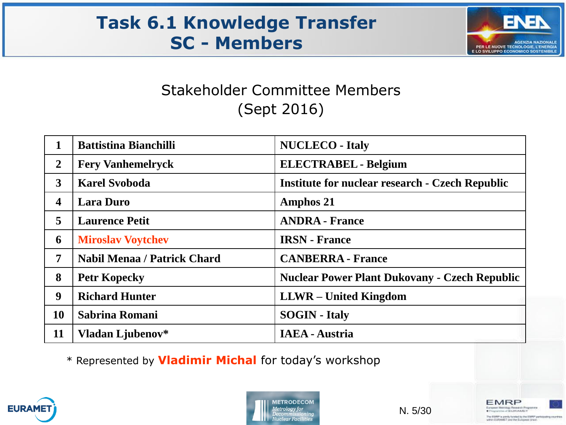#### **Task 6.1 Knowledge Transfer SC - Members**



#### Stakeholder Committee Members (Sept 2016)

|                | <b>Battistina Bianchilli</b>       | <b>NUCLECO</b> - Italy                                 |
|----------------|------------------------------------|--------------------------------------------------------|
| $\overline{2}$ | <b>Fery Vanhemelryck</b>           | <b>ELECTRABEL</b> - Belgium                            |
| 3              | <b>Karel Svoboda</b>               | <b>Institute for nuclear research - Czech Republic</b> |
| 4              | <b>Lara Duro</b>                   | <b>Amphos 21</b>                                       |
| 5              | <b>Laurence Petit</b>              | <b>ANDRA - France</b>                                  |
| 6              | <b>Miroslav Voytchev</b>           | <b>IRSN</b> - France                                   |
| 7              | <b>Nabil Menaa / Patrick Chard</b> | <b>CANBERRA - France</b>                               |
| 8              | <b>Petr Kopecky</b>                | <b>Nuclear Power Plant Dukovany - Czech Republic</b>   |
| 9              | <b>Richard Hunter</b>              | <b>LLWR</b> – United Kingdom                           |
| <b>10</b>      | Sabrina Romani                     | <b>SOGIN</b> - Italy                                   |
| 11             | Vladan Ljubenov*                   | <b>IAEA - Austria</b>                                  |

\* Represented by **Vladimir Michal** for today's workshop





N. 5/30

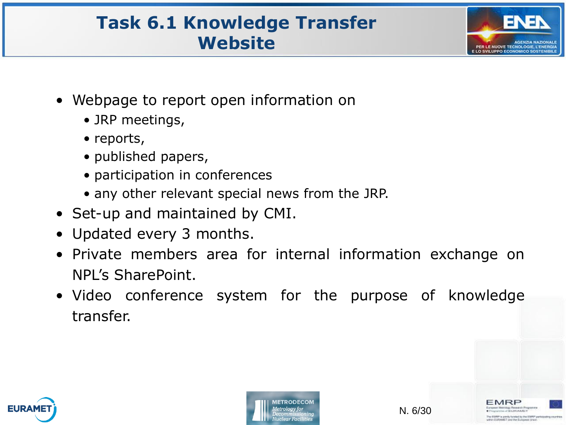#### **Task 6.1 Knowledge Transfer Website**



- Webpage to report open information on
	- JRP meetings,
	- reports,
	- published papers,
	- participation in conferences
	- any other relevant special news from the JRP.
- Set-up and maintained by CMI.
- Updated every 3 months.
- Private members area for internal information exchange on NPL's SharePoint.
- Video conference system for the purpose of knowledge transfer.



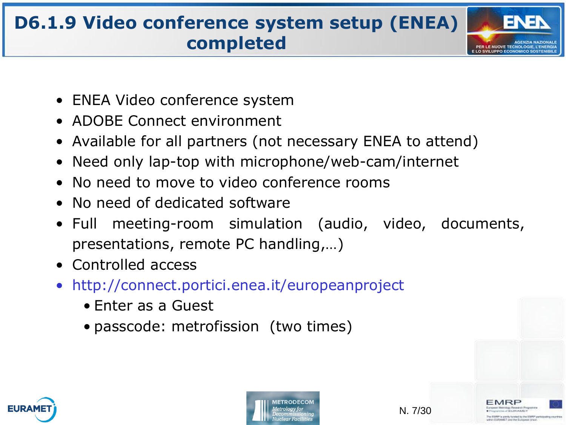# **D6.1.9 Video conference system setup (ENEA) completed**



MRP

CEUROMET EMPP is yorky brided by the EMPP partiel **IST and the Euras** 

- ENEA Video conference system
- ADOBE Connect environment
- Available for all partners (not necessary ENEA to attend)
- Need only lap-top with microphone/web-cam/internet
- No need to move to video conference rooms
- No need of dedicated software
- Full meeting-room simulation (audio, video, documents, presentations, remote PC handling,…)
- Controlled access
- http://connect.portici.enea.it/europeanproject
	- Enter as a Guest
	- passcode: metrofission (two times)





N. 7/30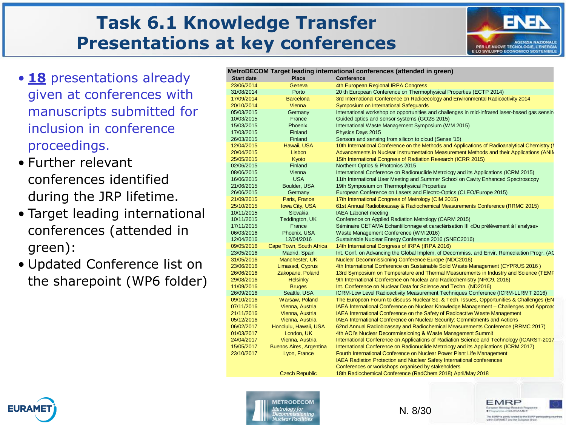#### **Task 6.1 Knowledge Transfer Presentations at key conferences**



- **18** presentations already given at conferences with manuscripts submitted for inclusion in conference proceedings.
- Further relevant conferences identified during the JRP lifetime.
- Target leading international conferences (attended in green):
- Updated Conference list on the sharepoint (WP6 folder)

|                   |                                | MetroDECOM Target leading international conferences (attended in green)                       |
|-------------------|--------------------------------|-----------------------------------------------------------------------------------------------|
| <b>Start date</b> | <b>Place</b>                   | <b>Conference</b>                                                                             |
| 23/06/2014        | Geneva                         | 4th European Regional IRPA Congress                                                           |
| 31/08/2014        | Porto                          | 20 th European Conference on Thermophysical Properties (ECTP 2014)                            |
| 17/09/2014        | <b>Barcelona</b>               | 3rd International Conference on Radioecology and Environmental Radioactivity 2014             |
| 20/10/2014        | Vienna                         | Symposium on International Safeguards                                                         |
| 05/03/2015        | Germany                        | International workshop on opportunities and challenges in mid-infrared laser-based gas sensin |
| 10/03/2015        | France                         | Guided optics and sensor systems (GO2S 2015)                                                  |
| 15/03/2015        | Phoenix                        | International Waste Management Symposium (WM 2015)                                            |
| 17/03/2015        | Finland                        | Physics Days 2015                                                                             |
| 26/03/2015        | Finland                        | Sensors and sensing from silicon to cloud (Sense '15)                                         |
| 12/04/2015        | Hawaii, USA                    | 10th International Conference on the Methods and Applications of Radioanalytical Chemistry (I |
| 20/04/2015        | Lisbon                         | Advancements in Nuclear Instrumentation Measurement Methods and their Applications (ANIN      |
| 25/05/2015        | Kyoto                          | 15th International Congress of Radiation Research (ICRR 2015)                                 |
| 02/06/2015        | Finland                        | Northern Optics & Photonics 2015                                                              |
| 08/06/2015        | Vienna                         | International Conference on Radionuclide Metrology and its Applications (ICRM 2015)           |
| 16/06/2015        | <b>USA</b>                     | 11th International User Meeting and Summer School on Cavity Enhanced Spectroscopy             |
| 21/06/2015        | Boulder, USA                   | 19th Symposium on Thermophysical Properties                                                   |
| 26/06/2015        | Germany                        | European Conference on Lasers and Electro-Optics (CLEO/Europe 2015)                           |
| 21/09/2015        | Paris, France                  | 17th International Congress of Metrology (CIM 2015)                                           |
| 25/10/2015        | Iowa City, USA                 | 61st Annual Radiobioassay & Radiochemical Measurements Conference (RRMC 2015)                 |
| 10/11/2015        | Slovakia                       | <b>IAEA Labonet meeting</b>                                                                   |
| 10/11/2015        | Teddington, UK                 | Conference on Applied Radiation Metrology (CARM 2015)                                         |
| 17/11/2015        | France                         | Séminaire CETAMA Echantillonnage et caractérisation III «Du prélèvement à l'analyse»          |
| 06/03/2016        | Phoenix, USA                   | Waste Management Conference (WM 2016)                                                         |
| 12/04/2016        | 12/04/2016                     | Sustainable Nuclear Energy Conference 2016 (SNEC2016)                                         |
| 09/05/2016        | Cape Town, South Africa        | 14th International Congress of IRPA (IRPA 2016)                                               |
| 23/05/2016        | Madrid, Spain                  | Int. Conf. on Advancing the Global Implem. of Decommiss. and Envir. Remediaition Progr. (AC   |
| 31/05/2016        | Manchester, UK                 | Nuclear Decommissioning Conference Europe (NDC2016)                                           |
| 23/06/2016        | Limassol, Cyprus               | 4th International Conference on Sustainable Solid Waste Management (CYPRUS 2016)              |
|                   | Zakopane, Poland               | 13rd Symposium on Temperature and Thermal Measurements in Industry and Science (TEMF          |
| 26/06/2016        |                                |                                                                                               |
| 29/08/2016        | <b>Helsinky</b>                | 9th International Conference on Nuclear and Radiochemistry (NRC9, 2016)                       |
| 11/09/2016        | <b>Bruges</b>                  | Int. Conference on Nuclear Data for Science and Techn. (ND2016)                               |
| 26/09/2016        | Seattle, USA                   | ICRM-Low Level Radioactivity Measurement Techniques Conference (ICRM-LLRMT 2016)              |
| 09/10/2016        | Warsaw, Poland                 | The European Forum to discuss Nuclear Sc. & Tech. Issues, Opportunities & Challenges (EN      |
| 07/11/2016        | Vienna, Austria                | IAEA International Conference on Nuclear Knowledge Management - Challenges and Approad        |
| 21/11/2016        | Vienna, Austria                | IAEA International Conference on the Safety of Radioactive Waste Management                   |
| 05/12/2016        | Vienna, Austria                | IAEA International Conference on Nuclear Security: Commitments and Actions                    |
| 06/02/2017        | Honolulu, Hawaii, USA          | 62nd Annual Radiobioassay and Radiochemical Measurements Conference (RRMC 2017)               |
| 01/03/2017        | London, UK                     | 4th ACI's Nuclear Decommissioning & Waste Management Summit                                   |
| 24/04/2017        | Vienna, Austria                | International Conference on Applications of Radiation Science and Technology (ICARST-2017     |
| 15/05/2017        | <b>Buenos Aires, Argentina</b> | International Conference on Radionuclide Metrology and its Applications (ICRM 2017)           |
| 23/10/2017        | Lyon, France                   | Fourth International Conference on Nuclear Power Plant Life Management                        |
|                   |                                | <b>IAEA Radiation Protection and Nuclear Safety International conferences</b>                 |
|                   |                                | Conferences or workshops organised by stakeholders                                            |
|                   | <b>Czech Republic</b>          | 18th Radiochemical Conference (RadChem 2018) April/May 2018                                   |







MRP

**JOURNAMET** 

EMPP is yordy brided by the EMPP part **MCT and the Euras**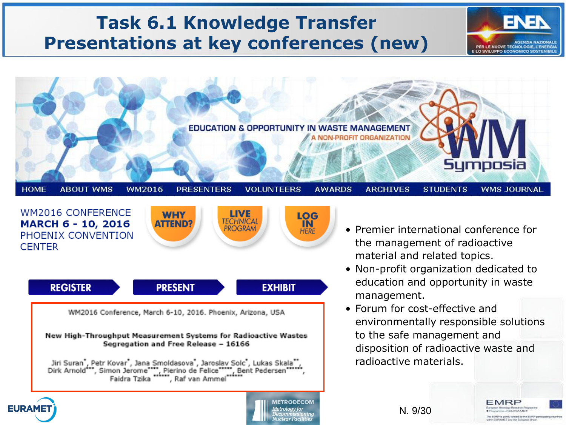#### **Task 6.1 Knowledge Transfer Presentations at key conferences (new)**







New High-Throughput Measurement Systems for Radioactive Wastes Segregation and Free Release - 16166

Jiri Suran , Petr Kovar , Jana Smoldasova , Jaroslav Solc , Lukas Skala<br>Dirk Arnold\*\*\*, Simon Jerome\*\*\*\*, Pierino de Felice\*\*\*\*, Bent Pedersen\*\*\*\* , Raf van Ammel Faidra Tzika

- Premier international conference for the management of radioactive material and related topics.
- Non-profit organization dedicated to education and opportunity in waste management.
- Forum for cost-effective and environmentally responsible solutions to the safe management and disposition of radioactive waste and radioactive materials.

EMRP

**EILIRAMIT** EMPP is yordy brided by the EMPP pa-**MCT and the Euras** 





N. 9/30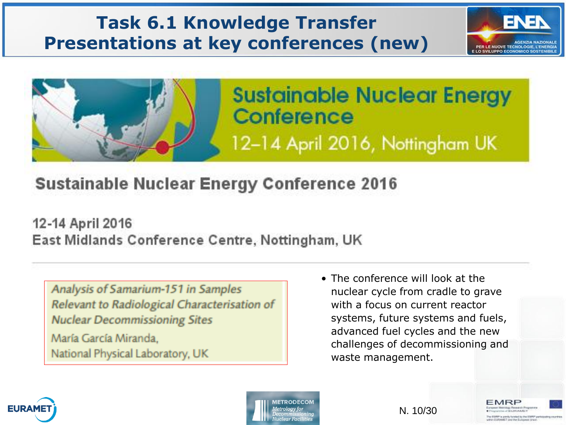#### **Task 6.1 Knowledge Transfer Presentations at key conferences (new)**



MRP

EIGRAMET Tued the Euro



#### **Sustainable Nuclear Energy Conference 2016**

12-14 April 2016 East Midlands Conference Centre, Nottingham, UK

Analysis of Samarium-151 in Samples Relevant to Radiological Characterisation of **Nuclear Decommissioning Sites** 

María García Miranda. National Physical Laboratory, UK • The conference will look at the nuclear cycle from cradle to grave with a focus on current reactor systems, future systems and fuels, advanced fuel cycles and the new challenges of decommissioning and waste management.





N. 10/30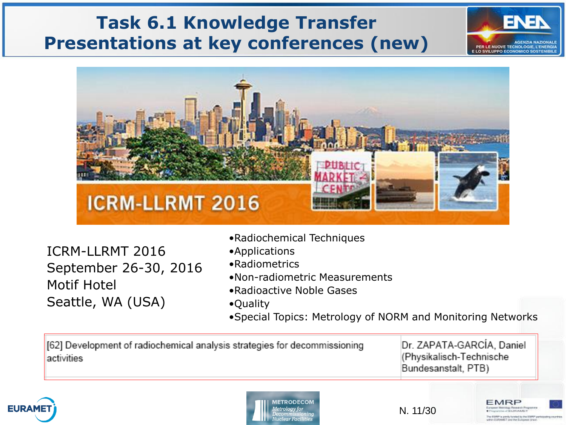#### **Task 6.1 Knowledge Transfer Presentations at key conferences (new)**



ICRM-LLRMT 2016 September 26-30, 2016 Motif Hotel Seattle, WA (USA)

- •Radiochemical Techniques
- •Applications
- •Radiometrics
- •Non-radiometric Measurements
- •Radioactive Noble Gases
- •Quality
- •Special Topics: Metrology of NORM and Monitoring Networks

[62] Development of radiochemical analysis strategies for decommissioning activities

Dr. ZAPATA-GARCÍA, Daniel (Physikalisch-Technische Bundesanstalt, PTB)

MRE

and the Euro

PER LE NUOVE TECNOLOGIE, L'ENERGIA





N. 11/30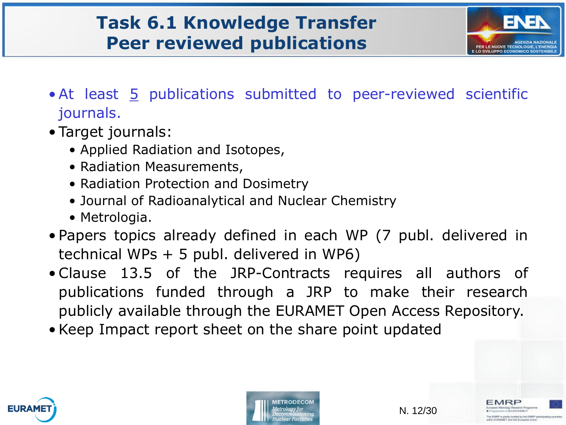#### **Task 6.1 Knowledge Transfer Peer reviewed publications**



MRP

CEUROMET EMPT is yonly brided by the EMPT parts **IST and the Euras** 

- At least 5 publications submitted to peer-reviewed scientific journals.
- Target journals:
	- Applied Radiation and Isotopes,
	- Radiation Measurements,
	- Radiation Protection and Dosimetry
	- Journal of Radioanalytical and Nuclear Chemistry
	- Metrologia.
- Papers topics already defined in each WP (7 publ. delivered in technical WPs + 5 publ. delivered in WP6)
- Clause 13.5 of the JRP-Contracts requires all authors of publications funded through a JRP to make their research publicly available through the EURAMET Open Access Repository.
- Keep Impact report sheet on the share point updated





N. 12/30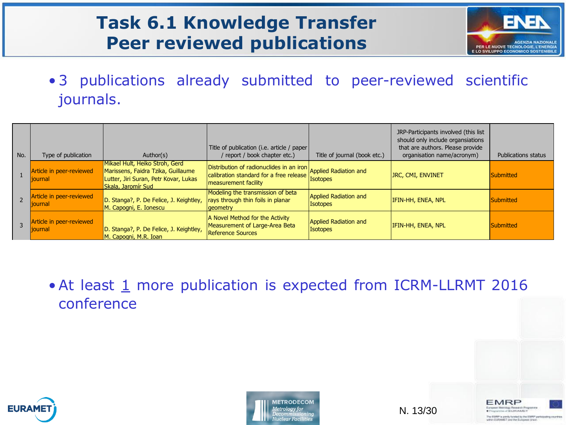#### **Task 6.1 Knowledge Transfer Peer reviewed publications**



EMRP

**Hassach Programm WARD ENDING A BANKEY** as EAMP is yondy brided by the EMPP participating on hin GLIRAMET and the European Uni-

• 3 publications already submitted to peer-reviewed scientific journals.

| No. | Type of publication                         | Author(s)                                                                                                                           | Title of publication (i.e. article / paper  <br>/ report / book chapter etc.)                                                            | Title of journal (book etc.)             | JRP-Participants involved (this list<br>should only include organsiations<br>that are authors. Please provide<br>organisation name/acronym) | <b>Publications status</b> |
|-----|---------------------------------------------|-------------------------------------------------------------------------------------------------------------------------------------|------------------------------------------------------------------------------------------------------------------------------------------|------------------------------------------|---------------------------------------------------------------------------------------------------------------------------------------------|----------------------------|
|     | Article in peer-reviewed<br><b>liournal</b> | Mikael Hult, Heiko Stroh, Gerd<br>Marissens, Faidra Tzika, Guillaume<br>Lutter, Jiri Suran, Petr Kovar, Lukas<br>Skala, Jaromír Sud | Distribution of radionuclides in an iron Applied Radiation and<br>calibration standard for a free release<br><b>measurement facility</b> | <b>Isotopes</b>                          | JRC, CMI, ENVINET                                                                                                                           | Submitted                  |
|     | Article in peer-reviewed<br><b>liournal</b> | D. Stanga?, P. De Felice, J. Keightley,<br>M. Capogni, E. Ionescu                                                                   | Modeling the transmission of beta<br>rays through thin foils in planar<br><b>a</b> eometry                                               | Applied Radiation and<br><b>Isotopes</b> | <b>IFIN-HH, ENEA, NPL</b>                                                                                                                   | Submitted                  |
|     | Article in peer-reviewed<br><b>liournal</b> | D. Stanga?, P. De Felice, J. Keightley,<br>M. Capogni, M.R. Ioan                                                                    | A Novel Method for the Activity<br>Measurement of Large-Area Beta<br>Reference Sources                                                   | Applied Radiation and<br><b>Isotopes</b> | <b>IFIN-HH, ENEA, NPL</b>                                                                                                                   | Submitted                  |

• At least 1 more publication is expected from ICRM-LLRMT 2016 conference





N. 13/30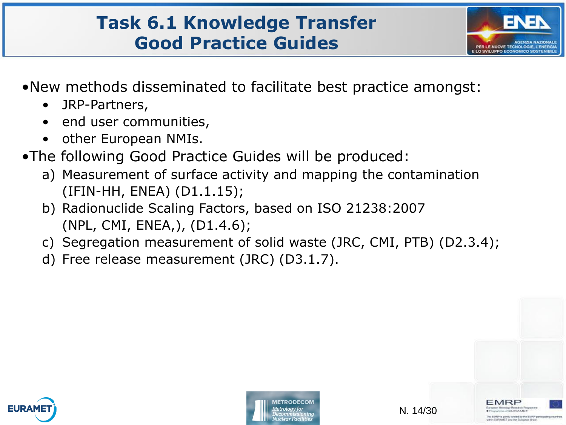#### **Task 6.1 Knowledge Transfer Good Practice Guides**



- •New methods disseminated to facilitate best practice amongst:
	- JRP-Partners,
	- end user communities,
	- other European NMIs.
- •The following Good Practice Guides will be produced:
	- a) Measurement of surface activity and mapping the contamination (IFIN-HH, ENEA) (D1.1.15);
	- b) Radionuclide Scaling Factors, based on ISO 21238:2007 (NPL, CMI, ENEA,), (D1.4.6);
	- c) Segregation measurement of solid waste (JRC, CMI, PTB) (D2.3.4);
	- d) Free release measurement (JRC) (D3.1.7).





**CT and the Euris**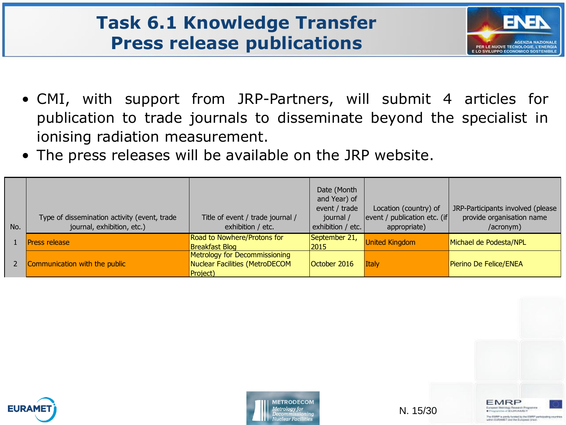#### **Task 6.1 Knowledge Transfer Press release publications**



MRP

**JERUPEAMET** EMPT is yorky british by the EMPT parties AST und the European Uni

- CMI, with support from JRP-Partners, will submit 4 articles for publication to trade journals to disseminate beyond the specialist in ionising radiation measurement.
- The press releases will be available on the JRP website.

| No. | Type of dissemination activity (event, trade<br>journal, exhibition, etc.) | Title of event / trade journal /<br>exhibition / etc.                       | Date (Month<br>and Year) of<br>event / trade<br>journal /<br>exhibition / etc. | Location (country) of<br>event / publication etc. (if<br>appropriate) | JRP-Participants involved (please<br>provide organisation name<br>/acronym) |
|-----|----------------------------------------------------------------------------|-----------------------------------------------------------------------------|--------------------------------------------------------------------------------|-----------------------------------------------------------------------|-----------------------------------------------------------------------------|
|     | Press release                                                              | Road to Nowhere/Protons for<br><b>Breakfast Blog</b>                        | September 21,<br>2015                                                          | <b>United Kingdom</b>                                                 | Michael de Podesta/NPL                                                      |
|     | Communication with the public                                              | Metrology for Decommissioning<br>Nuclear Facilities (MetroDECOM<br>Project) | October 2016                                                                   | <b>Italy</b>                                                          | Pierino De Felice/ENEA                                                      |





N. 15/30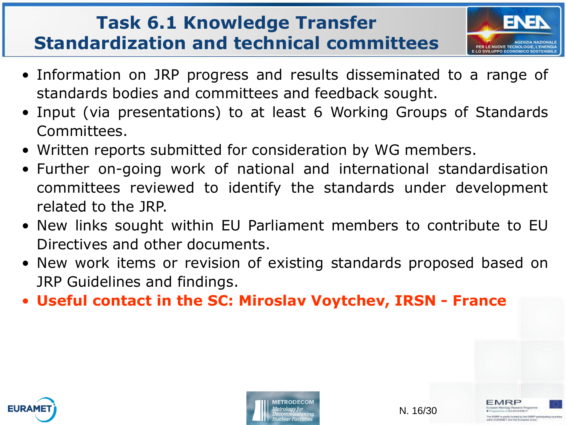#### **Task 6.1 Knowledge Transfer Standardization and technical committees**



- Information on JRP progress and results disseminated to a range of standards bodies and committees and feedback sought.
- Input (via presentations) to at least 6 Working Groups of Standards Committees.
- Written reports submitted for consideration by WG members.
- Further on-going work of national and international standardisation committees reviewed to identify the standards under development related to the JRP.
- New links sought within EU Parliament members to contribute to EU Directives and other documents.
- New work items or revision of existing standards proposed based on JRP Guidelines and findings.
- **Useful contact in the SC: Miroslav Voytchev, IRSN - France**



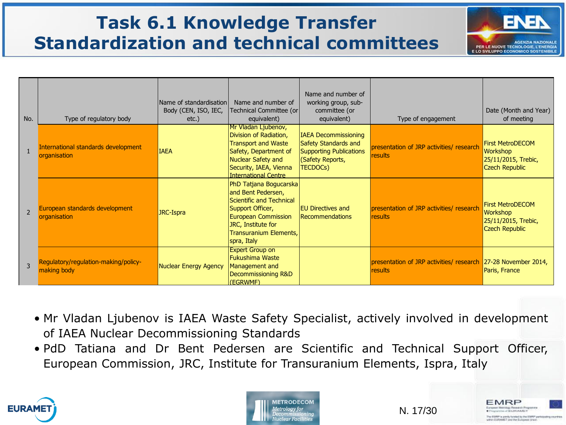### **Task 6.1 Knowledge Transfer Standardization and technical committees**



EMRP

**Heusech Program WALKER AMET** w EMPP is partly binded by the EMPP particle No 61.69AMET and the European Uni

| No.                      | Type of regulatory body                             | Name of standardisation<br>Body (CEN, ISO, IEC,<br>$etc.$ ) | Name and number of<br>Technical Committee (or)<br>equivalent)                                                                                                                              | Name and number of<br>working group, sub-<br>committee (or<br>equivalent)                                                    | Type of engagement                                                       | Date (Month and Year)<br>of meeting                                                        |
|--------------------------|-----------------------------------------------------|-------------------------------------------------------------|--------------------------------------------------------------------------------------------------------------------------------------------------------------------------------------------|------------------------------------------------------------------------------------------------------------------------------|--------------------------------------------------------------------------|--------------------------------------------------------------------------------------------|
|                          | International standards development<br>organisation | <b>IAEA</b>                                                 | Mr Vladan Ljubenov,<br>Division of Radiation,<br><b>Transport and Waste</b><br>Safety, Department of<br><b>Nuclear Safety and</b><br>Security, IAEA, Vienna<br><b>International Centre</b> | <b>IAEA Decommissioning</b><br>Safety Standards and<br><b>Supporting Publications</b><br>(Safety Reports,<br><b>TECDOCs)</b> | presentation of JRP activities/ research<br>results                      | <b>First MetroDECOM</b><br><b>Workshop</b><br>25/11/2015, Trebic,<br><b>Czech Republic</b> |
| $\overline{\phantom{0}}$ | European standards development<br>organisation      | JRC-Ispra                                                   | PhD Tatjana Bogucarska<br>and Bent Pedersen,<br>Scientific and Technical<br>Support Officer,<br>European Commission<br>JRC, Institute for<br>Transuranium Elements,<br>spra, Italy         | <b>EU Directives and</b><br>Recommendations                                                                                  | presentation of JRP activities/ research<br>results                      | <b>First MetroDECOM</b><br><b>Workshop</b><br>25/11/2015, Trebic,<br><b>Czech Republic</b> |
| 3                        | Regulatory/regulation-making/policy-<br>making body | <b>Nuclear Energy Agency</b>                                | <b>Expert Group on</b><br><b>Fukushima Waste</b><br>Management and<br>Decommissioning R&D<br>(EGRWMF)                                                                                      |                                                                                                                              | presentation of JRP activities/ research 27-28 November 2014,<br>results | Paris, France                                                                              |

- Mr Vladan Ljubenov is IAEA Waste Safety Specialist, actively involved in development of IAEA Nuclear Decommissioning Standards
- PdD Tatiana and Dr Bent Pedersen are Scientific and Technical Support Officer, European Commission, JRC, Institute for Transuranium Elements, Ispra, Italy





N. 17/30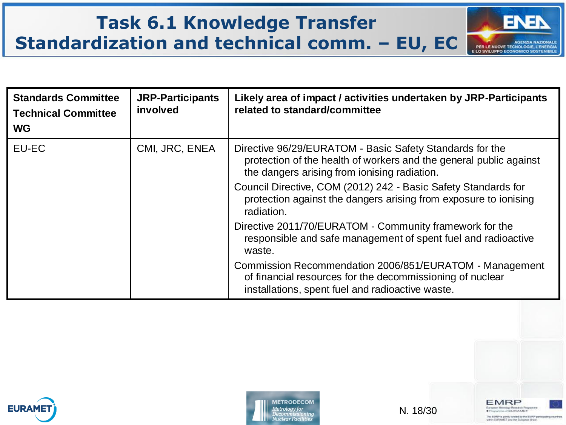#### **Task 6.1 Knowledge Transfer** ENER **Standardization and technical comm. – EU, EC AGENZIA NAZIONALE PER LE NUOVE TECNOLOGIE, L'ENERGIA<br>E LO SVILUPPO ECONOMICO SOSTENIBILE**

| <b>Standards Committee</b><br><b>Technical Committee</b><br><b>WG</b> | <b>JRP-Participants</b><br>involved | Likely area of impact / activities undertaken by JRP-Participants<br>related to standard/committee                                                                             |
|-----------------------------------------------------------------------|-------------------------------------|--------------------------------------------------------------------------------------------------------------------------------------------------------------------------------|
| EU-EC                                                                 | CMI, JRC, ENEA                      | Directive 96/29/EURATOM - Basic Safety Standards for the<br>protection of the health of workers and the general public against<br>the dangers arising from ionising radiation. |
|                                                                       |                                     | Council Directive, COM (2012) 242 - Basic Safety Standards for<br>protection against the dangers arising from exposure to ionising<br>radiation.                               |
|                                                                       |                                     | Directive 2011/70/EURATOM - Community framework for the<br>responsible and safe management of spent fuel and radioactive<br>waste.                                             |
|                                                                       |                                     | Commission Recommendation 2006/851/EURATOM - Management<br>of financial resources for the decommissioning of nuclear<br>installations, spent fuel and radioactive waste.       |





N. 18/30

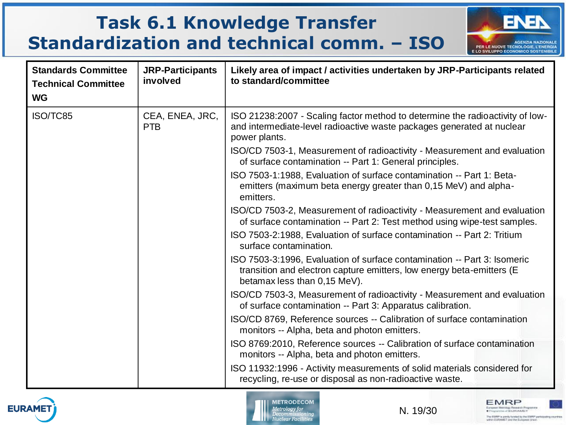### **Task 6.1 Knowledge Transfer Standardization and technical comm. – ISO**



**EMRP** 

European Metology Research Programme

The EMWP is postly brided by the EMWP pertubusing countries within EMRAMET and the European Union.

| <b>Standards Committee</b><br><b>Technical Committee</b><br><b>WG</b> | <b>JRP-Participants</b><br>involved | Likely area of impact / activities undertaken by JRP-Participants related<br>to standard/committee                                                                                |
|-----------------------------------------------------------------------|-------------------------------------|-----------------------------------------------------------------------------------------------------------------------------------------------------------------------------------|
| ISO/TC85                                                              | CEA, ENEA, JRC,<br><b>PTB</b>       | ISO 21238:2007 - Scaling factor method to determine the radioactivity of low-<br>and intermediate-level radioactive waste packages generated at nuclear<br>power plants.          |
|                                                                       |                                     | ISO/CD 7503-1, Measurement of radioactivity - Measurement and evaluation<br>of surface contamination -- Part 1: General principles.                                               |
|                                                                       |                                     | ISO 7503-1:1988, Evaluation of surface contamination -- Part 1: Beta-<br>emitters (maximum beta energy greater than 0,15 MeV) and alpha-<br>emitters.                             |
|                                                                       |                                     | ISO/CD 7503-2, Measurement of radioactivity - Measurement and evaluation<br>of surface contamination -- Part 2: Test method using wipe-test samples.                              |
|                                                                       |                                     | ISO 7503-2:1988, Evaluation of surface contamination -- Part 2: Tritium<br>surface contamination.                                                                                 |
|                                                                       |                                     | ISO 7503-3:1996, Evaluation of surface contamination -- Part 3: Isomeric<br>transition and electron capture emitters, low energy beta-emitters (E<br>betamax less than 0,15 MeV). |
|                                                                       |                                     | ISO/CD 7503-3, Measurement of radioactivity - Measurement and evaluation<br>of surface contamination -- Part 3: Apparatus calibration.                                            |
|                                                                       |                                     | ISO/CD 8769, Reference sources -- Calibration of surface contamination<br>monitors -- Alpha, beta and photon emitters.                                                            |
|                                                                       |                                     | ISO 8769:2010, Reference sources -- Calibration of surface contamination<br>monitors -- Alpha, beta and photon emitters.                                                          |
|                                                                       |                                     | ISO 11932:1996 - Activity measurements of solid materials considered for<br>recycling, re-use or disposal as non-radioactive waste.                                               |



**METRODECOM Metrology** for Decommissioning<br>Nuclear Facilities

N. 19/30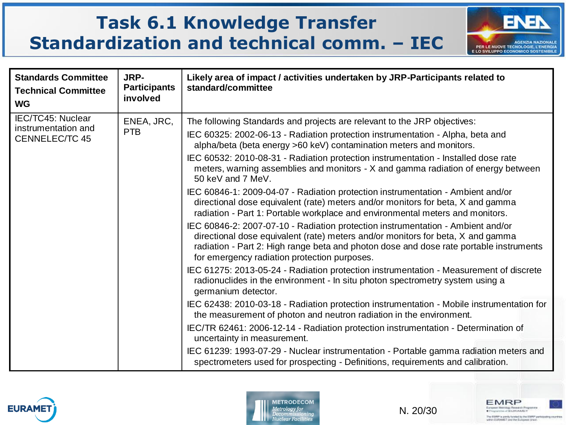#### **Task 6.1 Knowledge Transfer Standardization and technical comm. – IEC**



| <b>Standards Committee</b><br><b>Technical Committee</b><br><b>WG</b>    | JRP-<br><b>Participants</b><br>involved | Likely area of impact / activities undertaken by JRP-Participants related to<br>standard/committee                                                                                                                                                                                                                                                                                                                                                                                                                                                                                                                                                                                                                                                                                                                                                                                                                                                                                                                                                                                                                                                                                                                                                                                                                                                                             |
|--------------------------------------------------------------------------|-----------------------------------------|--------------------------------------------------------------------------------------------------------------------------------------------------------------------------------------------------------------------------------------------------------------------------------------------------------------------------------------------------------------------------------------------------------------------------------------------------------------------------------------------------------------------------------------------------------------------------------------------------------------------------------------------------------------------------------------------------------------------------------------------------------------------------------------------------------------------------------------------------------------------------------------------------------------------------------------------------------------------------------------------------------------------------------------------------------------------------------------------------------------------------------------------------------------------------------------------------------------------------------------------------------------------------------------------------------------------------------------------------------------------------------|
| <b>IEC/TC45: Nuclear</b><br>instrumentation and<br><b>CENNELEC/TC 45</b> | ENEA, JRC,<br><b>PTB</b>                | The following Standards and projects are relevant to the JRP objectives:<br>IEC 60325: 2002-06-13 - Radiation protection instrumentation - Alpha, beta and<br>alpha/beta (beta energy >60 keV) contamination meters and monitors.<br>IEC 60532: 2010-08-31 - Radiation protection instrumentation - Installed dose rate<br>meters, warning assemblies and monitors - X and gamma radiation of energy between<br>50 keV and 7 MeV.<br>IEC 60846-1: 2009-04-07 - Radiation protection instrumentation - Ambient and/or<br>directional dose equivalent (rate) meters and/or monitors for beta, X and gamma<br>radiation - Part 1: Portable workplace and environmental meters and monitors.<br>IEC 60846-2: 2007-07-10 - Radiation protection instrumentation - Ambient and/or<br>directional dose equivalent (rate) meters and/or monitors for beta, X and gamma<br>radiation - Part 2: High range beta and photon dose and dose rate portable instruments<br>for emergency radiation protection purposes.<br>IEC 61275: 2013-05-24 - Radiation protection instrumentation - Measurement of discrete<br>radionuclides in the environment - In situ photon spectrometry system using a<br>germanium detector.<br>IEC 62438: 2010-03-18 - Radiation protection instrumentation - Mobile instrumentation for<br>the measurement of photon and neutron radiation in the environment. |
|                                                                          |                                         | IEC/TR 62461: 2006-12-14 - Radiation protection instrumentation - Determination of<br>uncertainty in measurement.<br>IEC 61239: 1993-07-29 - Nuclear instrumentation - Portable gamma radiation meters and<br>spectrometers used for prospecting - Definitions, requirements and calibration.                                                                                                                                                                                                                                                                                                                                                                                                                                                                                                                                                                                                                                                                                                                                                                                                                                                                                                                                                                                                                                                                                  |





N. 20/30

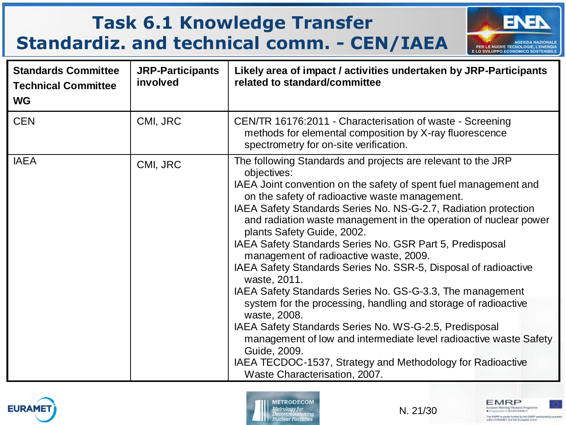# **Task 6.1 Knowledge Transfer Standardiz. and technical comm. - CEN/IAEA**



| <b>Standards Committee</b><br><b>Technical Committee</b><br><b>WG</b> | <b>JRP-Participants</b><br>involved | Likely area of impact / activities undertaken by JRP-Participants<br>related to standard/committee                                                                                                                                                                                                                                                                                                                                                                                                                                                                                                                                                                                                                                                                                                                                                                                                                                                           |
|-----------------------------------------------------------------------|-------------------------------------|--------------------------------------------------------------------------------------------------------------------------------------------------------------------------------------------------------------------------------------------------------------------------------------------------------------------------------------------------------------------------------------------------------------------------------------------------------------------------------------------------------------------------------------------------------------------------------------------------------------------------------------------------------------------------------------------------------------------------------------------------------------------------------------------------------------------------------------------------------------------------------------------------------------------------------------------------------------|
| <b>CEN</b>                                                            | CMI, JRC                            | CEN/TR 16176:2011 - Characterisation of waste - Screening<br>methods for elemental composition by X-ray fluorescence<br>spectrometry for on-site verification.                                                                                                                                                                                                                                                                                                                                                                                                                                                                                                                                                                                                                                                                                                                                                                                               |
| <b>IAEA</b>                                                           | CMI, JRC                            | The following Standards and projects are relevant to the JRP<br>objectives:<br>IAEA Joint convention on the safety of spent fuel management and<br>on the safety of radioactive waste management.<br>IAEA Safety Standards Series No. NS-G-2.7, Radiation protection<br>and radiation waste management in the operation of nuclear power<br>plants Safety Guide, 2002.<br>IAEA Safety Standards Series No. GSR Part 5, Predisposal<br>management of radioactive waste, 2009.<br>IAEA Safety Standards Series No. SSR-5, Disposal of radioactive<br>waste, 2011.<br>IAEA Safety Standards Series No. GS-G-3.3, The management<br>system for the processing, handling and storage of radioactive<br>waste, 2008.<br>IAEA Safety Standards Series No. WS-G-2.5, Predisposal<br>management of low and intermediate level radioactive waste Safety<br>Guide, 2009.<br>IAEA TECDOC-1537, Strategy and Methodology for Radioactive<br>Waste Characterisation, 2007. |





N. 21/30

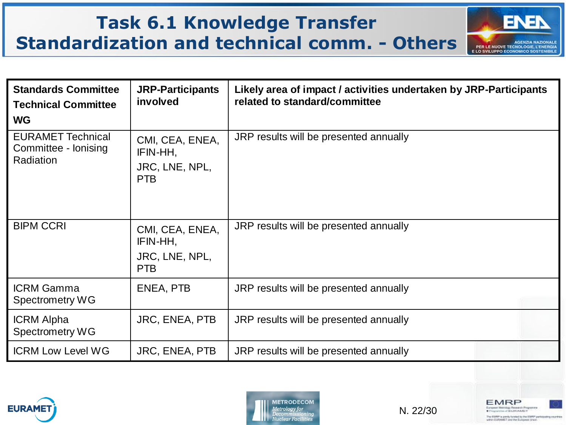#### **Task 6.1 Knowledge Transfer Standardization and technical comm. - Others**





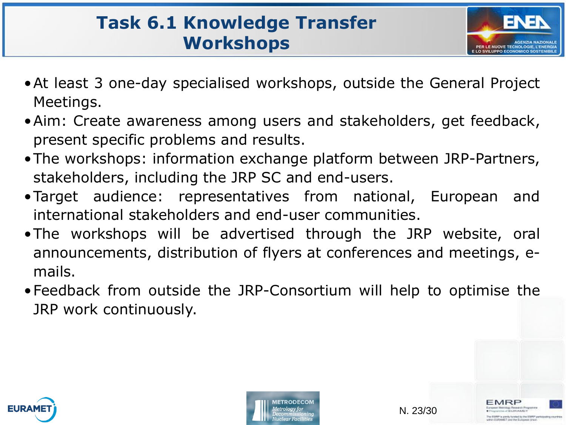#### **Task 6.1 Knowledge Transfer Workshops**



- •At least 3 one-day specialised workshops, outside the General Project Meetings.
- •Aim: Create awareness among users and stakeholders, get feedback, present specific problems and results.
- •The workshops: information exchange platform between JRP-Partners, stakeholders, including the JRP SC and end-users.
- •Target audience: representatives from national, European and international stakeholders and end-user communities.
- •The workshops will be advertised through the JRP website, oral announcements, distribution of flyers at conferences and meetings, emails.
- •Feedback from outside the JRP-Consortium will help to optimise the JRP work continuously.





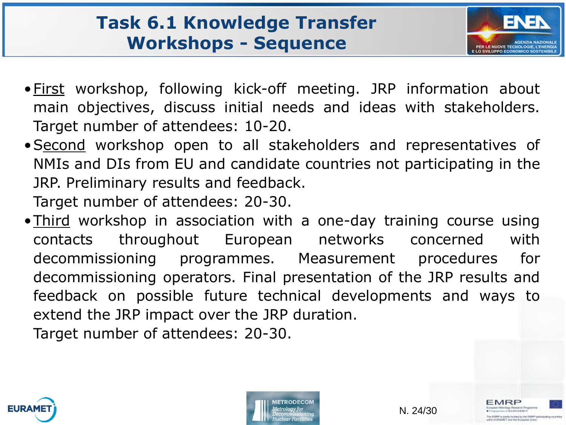#### **Task 6.1 Knowledge Transfer Workshops - Sequence**



MRP

CEUROMET IF in transfer fundament for their FAMEP capab **CT and the Eurist** 

- •First workshop, following kick-off meeting. JRP information about main objectives, discuss initial needs and ideas with stakeholders. Target number of attendees: 10-20.
- •Second workshop open to all stakeholders and representatives of NMIs and DIs from EU and candidate countries not participating in the JRP. Preliminary results and feedback.

Target number of attendees: 20-30.

• Third workshop in association with a one-day training course using contacts throughout European networks concerned with decommissioning programmes. Measurement procedures for decommissioning operators. Final presentation of the JRP results and feedback on possible future technical developments and ways to extend the JRP impact over the JRP duration. Target number of attendees: 20-30.





N. 24/30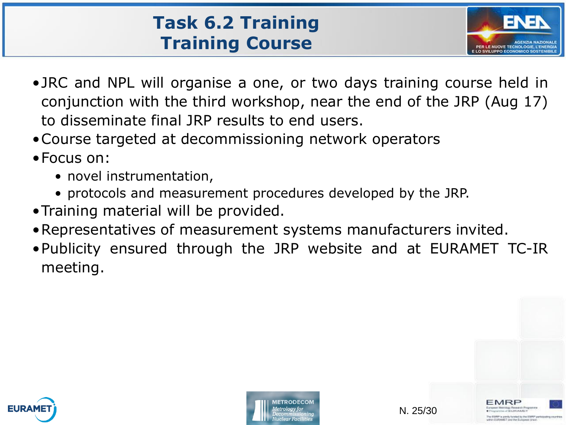# **Task 6.2 Training Training Course**



- •JRC and NPL will organise a one, or two days training course held in conjunction with the third workshop, near the end of the JRP (Aug 17) to disseminate final JRP results to end users.
- •Course targeted at decommissioning network operators
- •Focus on:
	- novel instrumentation,
	- protocols and measurement procedures developed by the JRP.
- •Training material will be provided.
- •Representatives of measurement systems manufacturers invited.
- •Publicity ensured through the JRP website and at EURAMET TC-IR meeting.



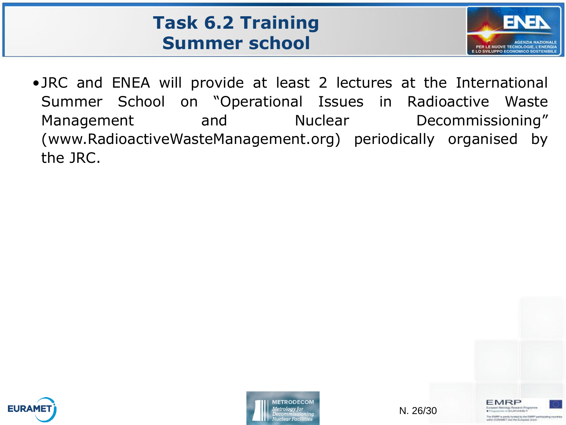#### **Task 6.2 Training Summer school**



•JRC and ENEA will provide at least 2 lectures at the International Summer School on "Operational Issues in Radioactive Waste Management and Nuclear Decommissioning" (www.RadioactiveWasteManagement.org) periodically organised by the JRC.





N. 26/30

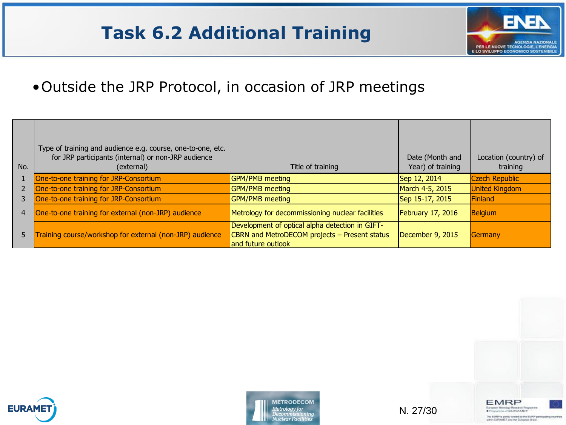#### **Task 6.2 Additional Training**



#### •Outside the JRP Protocol, in occasion of JRP meetings

| No. | Type of training and audience e.g. course, one-to-one, etc.<br>for JRP participants (internal) or non-JRP audience<br>(external) | Title of training                                                                                                      | Date (Month and<br>Year) of training | Location (country) of<br>training |
|-----|----------------------------------------------------------------------------------------------------------------------------------|------------------------------------------------------------------------------------------------------------------------|--------------------------------------|-----------------------------------|
|     | One-to-one training for JRP-Consortium                                                                                           | <b>GPM/PMB</b> meeting                                                                                                 | Sep 12, 2014                         | <b>Czech Republic</b>             |
|     | One-to-one training for JRP-Consortium                                                                                           | <b>GPM/PMB</b> meeting                                                                                                 | March 4-5, 2015                      | <b>United Kingdom</b>             |
|     | One-to-one training for JRP-Consortium                                                                                           | <b>GPM/PMB</b> meeting                                                                                                 | Sep 15-17, 2015                      | Finland                           |
| 4   | One-to-one training for external (non-JRP) audience                                                                              | Metrology for decommissioning nuclear facilities                                                                       | February 17, 2016                    | <b>Belgium</b>                    |
| 5.  | Training course/workshop for external (non-JRP) audience                                                                         | Development of optical alpha detection in GIFT-<br>CBRN and MetroDECOM projects - Present status<br>and future outlook | December 9, 2015                     | Germany                           |





N. 27/30

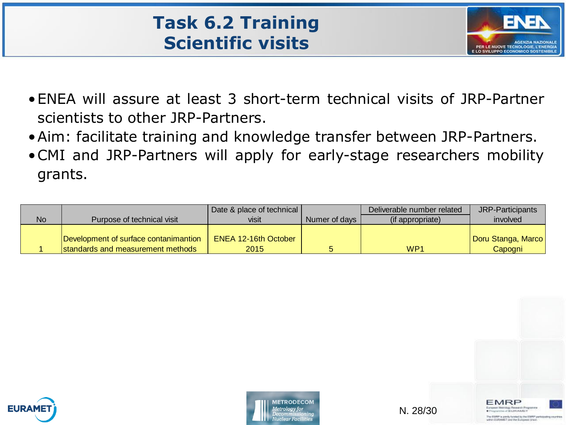#### **Task 6.2 Training Scientific visits**



- •ENEA will assure at least 3 short-term technical visits of JRP-Partner scientists to other JRP-Partners.
- •Aim: facilitate training and knowledge transfer between JRP-Partners.
- •CMI and JRP-Partners will apply for early-stage researchers mobility grants.

|           |                                       | Date & place of technical   |               | Deliverable number related | JRP-Participants   |
|-----------|---------------------------------------|-----------------------------|---------------|----------------------------|--------------------|
| <b>No</b> | Purpose of technical visit            | visit                       | Numer of days | (if appropriate)           | involved           |
|           |                                       |                             |               |                            |                    |
|           | Development of surface contanimantion | <b>ENEA 12-16th October</b> |               |                            | Doru Stanga, Marco |
|           | standards and measurement methods     | 2015                        |               | WP <sub>1</sub>            | Capogni            |





N. 28/30

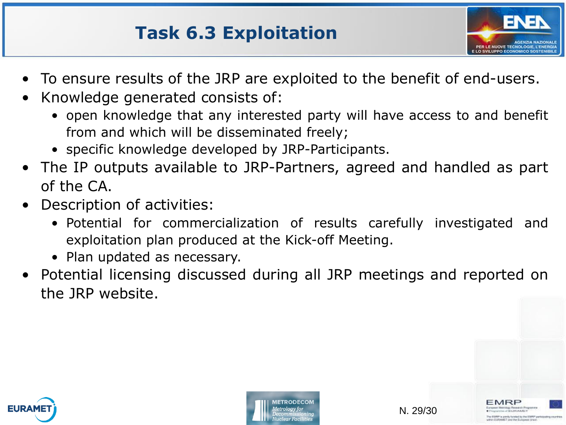#### **Task 6.3 Exploitation**



- To ensure results of the JRP are exploited to the benefit of end-users.
- Knowledge generated consists of:
	- open knowledge that any interested party will have access to and benefit from and which will be disseminated freely;
	- specific knowledge developed by JRP-Participants.
- The IP outputs available to JRP-Partners, agreed and handled as part of the CA.
- Description of activities:
	- Potential for commercialization of results carefully investigated and exploitation plan produced at the Kick-off Meeting.
	- Plan updated as necessary.
- Potential licensing discussed during all JRP meetings and reported on the JRP website.



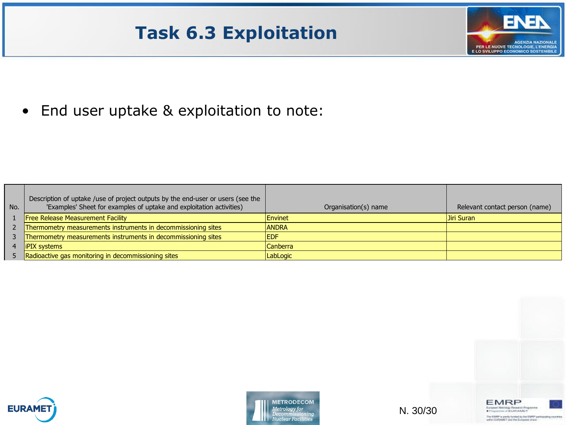### **Task 6.3 Exploitation**



• End user uptake & exploitation to note:

| No. | Description of uptake /use of project outputs by the end-user or users (see the<br>'Examples' Sheet for examples of uptake and exploitation activities) | Organisation(s) name | Relevant contact person (name) |
|-----|---------------------------------------------------------------------------------------------------------------------------------------------------------|----------------------|--------------------------------|
|     | <b>Free Release Measurement Facility</b>                                                                                                                | Envinet              | Uiri Suran                     |
|     | 2 Thermometry measurements instruments in decommissioning sites                                                                                         | <b>ANDRA</b>         |                                |
|     | Thermometry measurements instruments in decommissioning sites                                                                                           | <b>IEDF</b>          |                                |
|     | <b>iPIX</b> systems                                                                                                                                     | <b>Canberra</b>      |                                |
|     | 5 Radioactive gas monitoring in decommissioning sites                                                                                                   | LabLogic             |                                |





N. 30/30

**EMRP** European Metrology Research Programme The EMRP is pointy by deal by the EMRP participating countries within ELRAMET and the European Union.